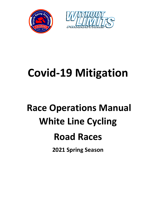



# **Covid-19 Mitigation**

## **Race Operations Manual White Line Cycling Road Races**

**2021 Spring Season**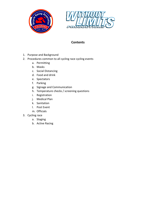



## **Contents**

- 1. Purpose and Background
- 2. Procedures common to all cycling race cycling events
	- a. Permitting
	- b. Masks
	- c. Social Distancing
	- d. Food and drink
	- e. Spectators
	- f. Parking
	- g. Signage and Communication
	- h. Temperature checks / screening questions
	- i. Registration
	- j. Medical Plan
	- k. Sanitation
	- l. Post Event
	- m. Officials
- 3. Cycling race
	- a. Staging
	- b. Active Racing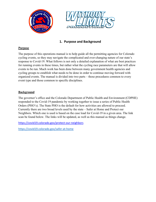



## **1. Purpose and Background**

#### **Purpose**

The purpose of this operations manual is to help guide all the permitting agencies for Colorado cycling events, so they may navigate the complicated and ever-changing nature of our state's response to Covid-19. What follows is not only a detailed explanation of what are best practices for running events in these times, but rather what the cycling race parameters are that will allow events to be run. Much work has been done between many government health agencies and cycling groups to establish what needs to be done in order to continue moving forward with organized events. The manual is divided into two parts – those procedures common to every event type and those common to specific disciplines.

#### **Background**

The governor's office and the Colorado Department of Public Health and Environment (CDPHE) responded to the Covid-19 pandemic by working together to issue a series of Public Health Orders (PHO's). The State PHO is the default for how activities are allowed to proceed. Currently there are two broad levels used by the state – Safer at Home and Protect our Neighbors. Which one is used is based on the case load for Covid-19 in a given area. The link scan be found below. The links will be updated, as well as this manual as things change.

<https://covid19.colorado.gov/protect-our-neighbors>

<https://covid19.colorado.gov/safer-at-home>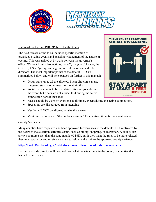



#### Nature of the Default PHO (Public Health Order)

The next release of the PHO includes specific mention of organized cycling events and an acknowledgement of the nature of cycling. This was arrived at by work between the governor's office, Without Limits Productions, BRAC, Bicycle Colorado, the CDPHE, USA Cycling, and a group of Colorado race and ride directors. The most important points of the default PHO are summarized below, and will be expanded on further in this manual:

- Group starts up to 25 are allowed. Event directors can use staggered start or other measures to attain this.
- Social distancing is to be maintained for everyone during the event, but riders are not subject to it during the active competition part of their race
- Masks should be worn by everyone at all times, except during the active competition.
- Spectators are discouraged from attending
- Vendor will NOT be allowed on-site this season
- Maximum occupancy of the outdoor event is 175 at a given time for the event venue

#### County Variances

Many counties have requested and been approved for variances to the default PHO, motivated by the desire to make certain activities easier, such as dining, shopping, or recreation. A county can always be more strict than the state-mandated PHO, but if they want the rules to be more relaxed, they must apply for and receive a variance. Below is the link to the approved county variances:

#### <https://covid19.colorado.gov/public-health-executive-orders/local-orders-variances>

Each race or ride director will need to know what the situation is in the county or counties that his or her event uses.



**THANK YOU FOR PRACTICING**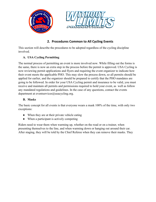

## **2. Procedures Common to All Cycling Events**

This section will describe the procedures to be adopted regardless of the cycling discipline involved.

## **A. USA Cycling Permitting**

The normal process of permitting an event is more involved now. While filling out the forms is the same, there is now an extra step in the process before the permit is approved. USA Cycling is now reviewing permit applications and flyers and requiring the event organizer to indicate how their event meets the applicable PHO. This may slow the process down, so all permits should be applied for earlier, and the organizer should be prepared to certify that the PHO mandates are going to be followed. In order for your USA Cycling permit and insurance to be valid, you must receive and maintain all permits and permissions required to hold your event, as well as follow any mandated regulations and guidelines. In the case of any questions, contact the events department at eventservices@usacycling.org.

## **B. Masks**

The basic concept for all events is that everyone wears a mask 100% of the time, with only two exceptions:

- When they are at their private vehicle eating
- When a participant is actively competing

Riders need to wear them when warming up, whether on the road or on a trainer, when presenting themselves to the line, and when warming down or hanging out around their car. After staging, they will be told by the Chief Referee when they can remove their masks. They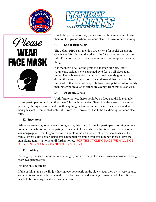





should be prepared to carry their masks with them, and not throw them on the ground where someone else will have to pick them up.

## **C. Social Distancing**

The default PHO's all mention two criteria for social distancing. One is the 6-ft rule, and the other is the 28 square feet per person rule. They both essentially are attempting to accomplish the same thing.

It is the intent of all of the protocols to keep all riders, staff, volunteers, officials, etc, separated by 6 feet on all sides at all times. The only exception, which was just recently granted, is that during the active competition, it is understood that there will be times when that does not happen between competitors. Also, family members who traveled together are exempt from this rule as well.

## **D. Food and Drink**

Until further notice, there should be no food and drink available. Every participant must bring their own. This includes water. Given that the virus is transmitted primarily through the nose and mouth, anything that is consumed on site must be viewed as being suspect. Even bottled water, if it were to be provided, had to be handled by someone else first.

## **E. Spectators**

While we are trying to get events going again, this is a bad time for participants to bring anyone to the venue who is not participating in the event. All events have limits on how many people can congregate. Event Organizers must maintain the 28 square feet per person density at the venue. Every extra person represents a potential for going over this number. Please leave the non-riding family at home until further notice. FOR THE CYCLING RACE WE WILL NOT ALLOW SPECTATORS ON SITE THIS SEASON.

## **F. Parking**

Parking represents a unique set of challenges, and no event is the same. We can consider parking from two perspectives:

## Parking on side streets

If the parking area is really just having everyone park on the side streets, then by its very nature, each car is automatically separated by six feet, so social distancing is maintained. Thus, little needs to be done logistically if this is the case.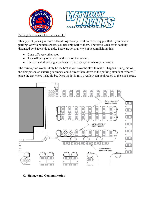



Parking in a parking lot or a vacant lot

This type of parking is more difficult logistically. Best practices suggest that if you have a parking lot with painted spaces, you use only half of them. Therefore, each car is socially distanced by 6-feet side to side. There are several ways of accomplishing this:

- Cone off every other spot.
- Tape off every other spot with tape on the ground.
- Use dedicated parking attendants to place every car where you want it.

The third option would likely be the best if you have the staff to make it happen. Using radios, the first person an entering car meets could direct them down to the parking attendant, who will place the car where it should be. Once the lot is full, overflow can be directed to the side streets.



#### **G. Signage and Communication**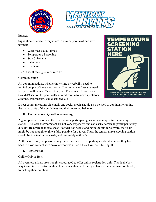



#### Signage

Signs should be used everywhere to remind people of our new normal:

- Wear masks at all times
- Temperature Screening
- Stay 6-feet apart
- Enter here
- Exit here

BRAC has these signs in its race kit.

## Communication

All communications, whether in writing or verbally, need to remind people of these new norms. The same race flyer you used last year, will be insufficient this year. Flyers need to contain a Covid-19 section to specifically remind people to leave spectators at home, wear masks, stay distanced, etc.



Direct communications via emails and social media should also be used to continually remind the participants of the guidelines and their expected behavior.

## **H. Temperature / Question Screening**

A good practice is to have the first station a participant goes to be a temperature screening station. The laser thermometers are not very expensive and can easily screen all participants very quickly. Be aware that data show if a rider has been standing in the sun for a while, their skin might be hot enough to give a false positive for a fever. Thus, the temperature screening station should be in a tent in the shade, and preferably with a fan.

At the same time, the person doing the screen can ask the participant about whether they have been in close contact with anyone who was ill, or if they have been feeling ill.

## **I. Registration**

## Online Only is Best

All event organizers are strongly encouraged to offer online registration only. That is the best way to minimize contact with athletes, since they will then just have to be at registration briefly to pick up their numbers.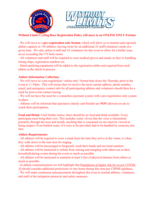



## **Without Limits Cycling Race Registration Policy will more to an ONLINE ONLY Format.**

- We will move to a **pre-registration only format**, which will allow us to monitor and cap total athlete capacity at 150 athletes, leaving room for an additional 25 staff/volunteers onsite at a given time. We only utilize 4 staff and 10 volunteers for this event to allow for a buffer zone, never exceeding the 175 limit onsite.

- All volunteers and staff will be required to wear medical gloves and masks as they're handling timing chips, registration numbers etc.

- Hand sanitizing equipment will be added to the registration tables and required from each athlete at the check-in process.

#### **Athlete Information Collection:**

- We will move to a pre-registration "online only "format that closes the Thursday prior to the event at 11:59pm. This will ensure that we receive the most current address, phone number, email, and emergency contact info for all participating athletes and volunteers should there be a need for post-event contact tracing.

- We will not have the need for a contactless payment system with a pre-registration only system in place.

- Athletes will be informed that spectators (family and friends) are **NOT** allowed on-site to watch their participation.

**Food and Drink:** Until further notice, there should be no food and drink available. Every participant must bring their own. This includes water. Given that the virus is transmitted primarily through the nose and mouth, anything that is consumed on site must be viewed as being suspect. Even bottled water, if it were to be provided, had to be handled by someone else first.

#### **Athlete Requirements:**

- All athletes will be required to wear a mask from the time they arrive at the venue, to when they walk down to the start area for staging.

- All athletes will be encouraged to frequently wash their hands and use hand sanitizer

- All athletes will be instructed to refrain from mixing and mingling with others not in their household during events during the event as much as possible.

- All athletes will be instructed to maintain at least 6 feet of physical distance from others as much as possible.

- In athlete communications we will highlight that [Populations at higher risk for severe COVID-](https://www.cdc.gov/coronavirus/2019-ncov/need-extra-precautions/people-at-higher-risk.html)[19](https://www.cdc.gov/coronavirus/2019-ncov/need-extra-precautions/people-at-higher-risk.html) should consider additional protections or stay home during this time per CDPHE guidance.

- We will make continuous announcements throughout the event to remind athletes, volunteers, and staff of the mitigation protocols and safety measures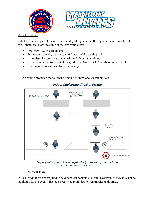



# Packet Pickup

Whether it is just packet pickup or actual day of registration, the registration area needs to be well-organized. Here are some of the key components:

- One-way flow of participants
- Participants socially distanced at 6-ft apart while waiting in line
- All registration crew wearing masks and gloves at all times
- Registration crew stay behind cough shields. Note, BRAC has these in our race kit.
- Hand sanitation stations placed frequently

USA Cycling produced the following graphic to show one acceptable setup:



## **Indoor Registration/Packet Pickup**

Properly setting up an indoor registration/packet pickup area reduces the risk to everyone involved.

## **J. Medical Plan**

All Colorado races are required to have medical personnel on site. However, as they may not be familiar with our events, they too need to be reminded to wear masks at all times.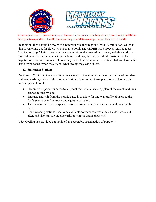



Our medical staff is Rapid Response Paramedic Services, which has been trained in COVID-19 best practices, and will handle the screening of athletes as step 1 when they arrive onsite.

In addition, they should be aware of a potential role they play in Covid-19 mitigation, which is that of watching out for riders who appear to be ill. The CDPHE has a process referred to as "contact tracing." This is one way the state monitors the level of new cases, and also works to find out who has been in contact with whom. To do so, they will need information that the registration crew and the medical crew may have. For this reason it is critical that you have solid lists of who raced, when they raced, what groups they were in, etc.

#### **K. Sanitation Stations**

Previous to Covid-19, there was little consistency in the number or the organization of portalets and handwashing stations. Much more effort needs to go into those plans today. Here are the most important points

- Placement of portalets needs to augment the social distancing plan of the event, and thus cannot be side by side.
- Entrance and exit from the portalets needs to allow for one-way traffic of users so they don't ever have to backtrack and squeeze by others
- The event organizer is responsible for ensuring the portalets are sanitized on a regular basis.
- Hand washing stations need to be available so users can wash their hands before and after, and also sanitize the door prior to entry if that is their wish

USA Cycling has provided a graphic of an acceptable organization of portalets: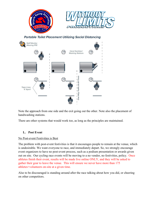

Note the approach from one side and the exit going out the other. Note also the placement of handwashing stations.

There are other systems that would work too, as long as the principles are maintained.

#### **L. Post Event**

#### No Post-event Festivities is Best

The problem with post-event festivities is that it encourages people to remain at the venue, which is undesirable. We want everyone to race, and immediately depart. So, we strongly encourage event organizers to have no post-event process, such as a podium presentation or awards given out on site. Our cycling race events will be moving to a no vendor, no festivities, policy. Once athletes finish their event, results will be made live online ONLY, and they will be asked to gather their gear to leave the venue. This will ensure we never have more than 175 athletes+volunteers on-site at a given time.

Also to be discouraged is standing around after the race talking about how you did, or cheering on other competitors.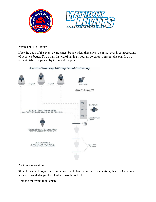



#### Awards but No Podium

If for the good of the event awards must be provided, then any system that avoids congregations of people is better. To do that, instead of having a podium ceremony, present the awards on a separate table for pickup by the award recipients.



## **Awards Ceremony Utilizing Social Distancing**

#### Podium Presentation

Should the event organizer deem it essential to have a podium presentation, then USA Cycling has also provided a graphic of what it would look like:

Note the following in this plan: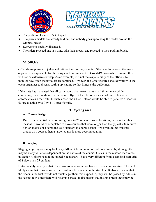



- The podium blocks are 6-feet apart.
- The prizes/medals are already laid out, and nobody goes up to hang the medal around the winners' necks
- Everyone is socially distanced.
- The riders proceed one at a time, take their medal, and proceed to their podium block.

#### **M. Officials**

Officials are present to judge and referee the sporting aspects of the race. In general, the event organizer is responsible for the design and enforcement of Covid-19 protocols. However, there will not be extensive overlap. As an example, it is not the responsibility of the officials to monitor how often the portalets are sanitized. However, the Chief Referee should work with the event organizer to discuss setting up staging so that it meets the guidelines.

If the state has mandated that all participants shall wear masks at all times, even while competing, then this should be in the race flyer. It then becomes a special race rule and is enforceable as a race rule. In such a case, the Chief Referee would be able to penalize a rider for failure to abide by a Covid-19-specific rule.

## **3. Cycling race**

#### **A. Course Design**

Due to the potential need to limit groups to 25 or less in some locations, or even for other reasons, it would be acceptable to have courses that were longer than the typical 7-8 minutes per lap that is considered the gold standard in course design. If we want to get multiple groups on a course, then a larger course is more accommodating.

#### **B. Staging**

Staging a cycling race may look very different from previous traditional models, although there may be many variations dependent on the nature of the course. Just as in the massed-start races in section 4, riders need to be staged 6-feet apart. That is very different from a standard start grid of 8 riders in a 75 cm lane.

Unfortunately, reality is that if we want to have races, we have to make compromises. This will likely mean that in some races, there will not be 8 riders on the start line. It also will mean that if the riders in the first row do not quickly get their feet clipped in, they will be passed by riders in the second row, since there will be ample space. It also means that in some races there may be